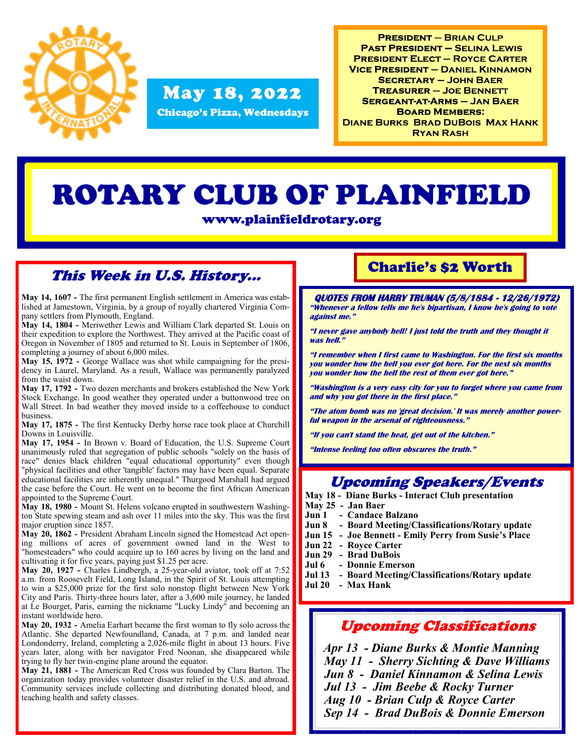

## May 18, 2022

Chicago's Pizza, Wednesdays

**PRESIDENT - BRIAN CULP PAST PRESIDENT - SELINA LEWIS PRESIDENT ELECT - ROYCE CARTER VICE PRESIDENT - DANIEL KINNAMON SECRETARY - JOHN BAER TREASURER - JOE BENNETT SERGEANT-AT-ARMS - JAN BAER BOARD MEMBERS: DIANE BURKS BRAD DUBOIS MAX HANK RYAN RASH** 

# ROTARY CLUB OF PLAINFIELD

www.plainfieldrotary.org

#### This Week in U.S. History...

**May 14, 1607 -** The first permanent English settlement in America was established at Jamestown, Virginia, by a group of royally chartered Virginia Company settlers from Plymouth, England.

**May 14, 1804 -** Meriwether Lewis and William Clark departed St. Louis on their expedition to explore the Northwest. They arrived at the Pacific coast of Oregon in November of 1805 and returned to St. Louis in September of 1806, completing a journey of about 6,000 miles.

**May 15, 1972 -** George Wallace was shot while campaigning for the presidency in Laurel, Maryland. As a result, Wallace was permanently paralyzed from the waist down.

**May 17, 1792 -** Two dozen merchants and brokers established the New York Stock Exchange. In good weather they operated under a buttonwood tree on Wall Street. In bad weather they moved inside to a coffeehouse to conduct business.

**May 17, 1875 -** The first Kentucky Derby horse race took place at Churchill Downs in Louisville.

**May 17, 1954 -** In Brown v. Board of Education, the U.S. Supreme Court unanimously ruled that segregation of public schools "solely on the basis of race" denies black children "equal educational opportunity" even though "physical facilities and other 'tangible' factors may have been equal. Separate educational facilities are inherently unequal." Thurgood Marshall had argued the case before the Court. He went on to become the first African American appointed to the Supreme Court.

**May 18, 1980 -** Mount St. Helens volcano erupted in southwestern Washington State spewing steam and ash over 11 miles into the sky. This was the first major eruption since 1857.

**May 20, 1862 -** President Abraham Lincoln signed the Homestead Act opening millions of acres of government owned land in the West to "homesteaders" who could acquire up to 160 acres by living on the land and cultivating it for five years, paying just \$1.25 per acre.

**May 20, 1927 -** Charles Lindbergh, a 25-year-old aviator, took off at 7:52 a.m. from Roosevelt Field, Long Island, in the Spirit of St. Louis attempting to win a \$25,000 prize for the first solo nonstop flight between New York City and Paris. Thirty-three hours later, after a 3,600 mile journey, he landed at Le Bourget, Paris, earning the nickname "Lucky Lindy" and becoming an instant worldwide hero.

**May 20, 1932 -** Amelia Earhart became the first woman to fly solo across the Atlantic. She departed Newfoundland, Canada, at 7 p.m. and landed near Londonderry, Ireland, completing a 2,026-mile flight in about 13 hours. Five years later, along with her navigator Fred Noonan, she disappeared while trying to fly her twin-engine plane around the equator.

**May 21, 1881 -** The American Red Cross was founded by Clara Barton. The organization today provides volunteer disaster relief in the U.S. and abroad. Community services include collecting and distributing donated blood, and teaching health and safety classes.

#### Charlie's \$2 Worth

**QUOTES FROM HARRY TRUMAN (5/8/1884 - 12/26/1972) "Whenever a fellow tells me he's bipartisan, I know he's going to vote against me."**

**"I never gave anybody hell! I just told the truth and they thought it was hell."**

**"I remember when I first came to Washington. For the first six months you wonder how the hell you ever got here. For the next six months you wonder how the hell the rest of them ever got here."**

**"Washington is a very easy city for you to forget where you came from and why you got there in the first place."**

**"The atom bomb was no 'great decision.' It was merely another powerful weapon in the arsenal of righteousness."**

**"If you can't stand the heat, get out of the kitchen."**

**"Intense feeling too often obscures the truth."**

#### Upcoming Speakers/Events

**May 18 - Diane Burks - Interact Club presentation**

- **May 25 - Jan Baer**
- **Jun 1 - Candace Balzano**
- **Jun 8 - Board Meeting/Classifications/Rotary update**
- **Jun 15 - Joe Bennett - Emily Perry from Susie's Place**
- **Jun 22 - Royce Carter**
- **Jun 29 - Brad DuBois**
- **Jul 6 - Donnie Emerson**
- **Jul 13 - Board Meeting/Classifications/Rotary update**
- **Jul 20 - Max Hank**

#### Upcoming Classifications

 *Apr 13 - Diane Burks & Montie Manning May 11 - Sherry Sichting & Dave Williams Jun 8 - Daniel Kinnamon & Selina Lewis Jul 13 - Jim Beebe & Rocky Turner Aug 10 - Brian Culp & Royce Carter Sep 14 - Brad DuBois & Donnie Emerson*